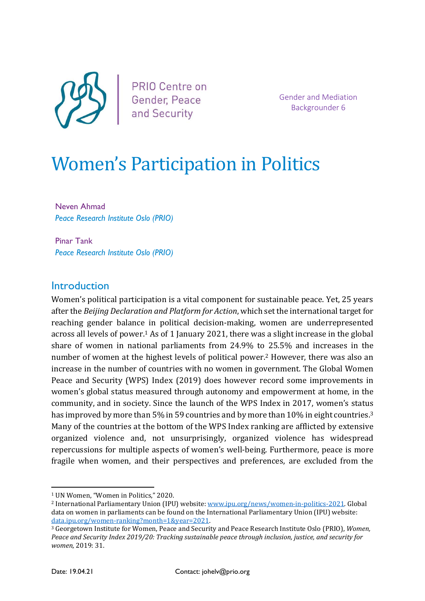

PRIO Centre on Gender, Peace and Security

Gender and Mediation Backgrounder 6

# Women's Participation in Politics

Neven Ahmad Peace Research Institute Oslo (PRIO)

Pinar Tank Peace Research Institute Oslo (PRIO)

#### **Introduction**

Women's political participation is a vital component for sustainable peace. Yet, 25 years after the Beijing Declaration and Platform for Action, which set the international target for reaching gender balance in political decision-making, women are underrepresented across all levels of power.1 As of 1 January 2021, there was a slight increase in the global share of women in national parliaments from 24.9% to 25.5% and increases in the number of women at the highest levels of political power.<sup>2</sup> However, there was also an increase in the number of countries with no women in government. The Global Women Peace and Security (WPS) Index (2019) does however record some improvements in women's global status measured through autonomy and empowerment at home, in the community, and in society. Since the launch of the WPS Index in 2017, women's status has improved by more than 5% in 59 countries and by more than 10% in eight countries.<sup>3</sup> Many of the countries at the bottom of the WPS Index ranking are afflicted by extensive organized violence and, not unsurprisingly, organized violence has widespread repercussions for multiple aspects of women's well-being. Furthermore, peace is more fragile when women, and their perspectives and preferences, are excluded from the

<sup>1</sup> UN Women, "Women in Politics," 2020.

<sup>2</sup> International Parliamentary Union (IPU) website: www.ipu.org/news/women-in-politics-2021. Global data on women in parliaments can be found on the International Parliamentary Union (IPU) website: data.ipu.org/women-ranking?month=1&year=2021.

<sup>3</sup> Georgetown Institute for Women, Peace and Security and Peace Research Institute Oslo (PRIO), Women, Peace and Security Index 2019/20: Tracking sustainable peace through inclusion, justice, and security for women, 2019: 31.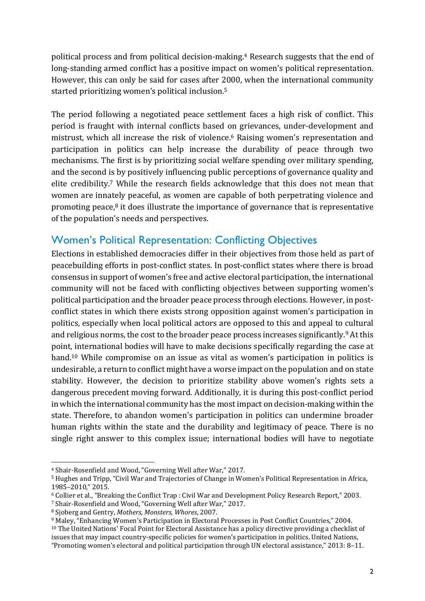political process and from political decision-making.4 Research suggests that the end of long-standing armed conflict has a positive impact on women's political representation. However, this can only be said for cases after 2000, when the international community started prioritizing women's political inclusion.<sup>5</sup>

The period following a negotiated peace settlement faces a high risk of conflict. This period is fraught with internal conflicts based on grievances, under-development and mistrust, which all increase the risk of violence.6 Raising women's representation and participation in politics can help increase the durability of peace through two mechanisms. The first is by prioritizing social welfare spending over military spending, and the second is by positively influencing public perceptions of governance quality and elite credibility.7 While the research fields acknowledge that this does not mean that women are innately peaceful, as women are capable of both perpetrating violence and promoting peace, $8$  it does illustrate the importance of governance that is representative of the population's needs and perspectives.

## Women's Political Representation: Conflicting Objectives

Elections in established democracies differ in their objectives from those held as part of peacebuilding efforts in post-conflict states. In post-conflict states where there is broad consensus in support of women's free and active electoral participation, the international community will not be faced with conflicting objectives between supporting women's political participation and the broader peace process through elections. However, in postconflict states in which there exists strong opposition against women's participation in politics, especially when local political actors are opposed to this and appeal to cultural and religious norms, the cost to the broader peace process increases significantly.9 At this point, international bodies will have to make decisions specifically regarding the case at hand.<sup>10</sup> While compromise on an issue as vital as women's participation in politics is undesirable, a return to conflict might have a worse impact on the population and on state stability. However, the decision to prioritize stability above women's rights sets a dangerous precedent moving forward. Additionally, it is during this post-conflict period in which the international community has the most impact on decision-making within the state. Therefore, to abandon women's participation in politics can undermine broader human rights within the state and the durability and legitimacy of peace. There is no single right answer to this complex issue; international bodies will have to negotiate

<sup>4</sup> Shair-Rosenfield and Wood, "Governing Well after War," 2017.

<sup>5</sup> Hughes and Tripp, "Civil War and Trajectories of Change in Women's Political Representation in Africa, 1985–2010," 2015.

<sup>6</sup> Collier et al., "Breaking the Conflict Trap : Civil War and Development Policy Research Report," 2003.

<sup>7</sup> Shair-Rosenfield and Wood, "Governing Well after War," 2017.

<sup>8</sup> Sjoberg and Gentry, Mothers, Monsters, Whores, 2007.

<sup>9</sup> Maley, "Enhancing Women's Participation in Electoral Processes in Post Conflict Countries," 2004.

<sup>10</sup> The United Nations' Focal Point for Electoral Assistance has a policy directive providing a checklist of issues that may impact country-specific policies for women's participation in politics. United Nations, "Promoting women's electoral and political participation through UN electoral assistance," 2013: 8–11.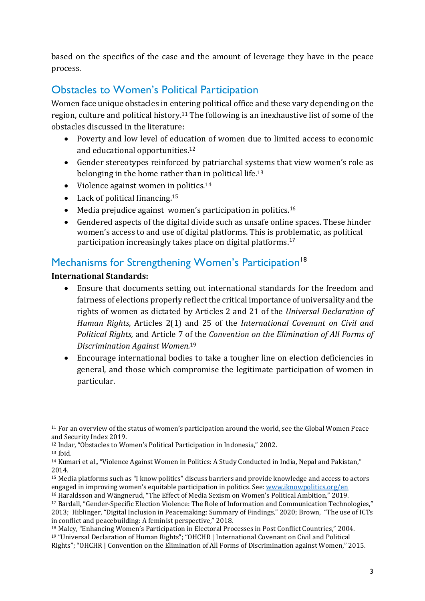based on the specifics of the case and the amount of leverage they have in the peace process.

# Obstacles to Women's Political Participation

Women face unique obstacles in entering political office and these vary depending on the region, culture and political history.11 The following is an inexhaustive list of some of the obstacles discussed in the literature:

- Poverty and low level of education of women due to limited access to economic and educational opportunities.<sup>12</sup>
- Gender stereotypes reinforced by patriarchal systems that view women's role as belonging in the home rather than in political life.<sup>13</sup>
- Violence against women in politics. $14$
- $\bullet$  Lack of political financing.<sup>15</sup>
- $\bullet$  Media prejudice against women's participation in politics.<sup>16</sup>
- Gendered aspects of the digital divide such as unsafe online spaces. These hinder women's access to and use of digital platforms. This is problematic, as political participation increasingly takes place on digital platforms. 17

## Mechanisms for Strengthening Women's Participation<sup>18</sup>

#### International Standards:

- Ensure that documents setting out international standards for the freedom and fairness of elections properly reflect the critical importance of universality and the rights of women as dictated by Articles 2 and 21 of the Universal Declaration of Human Rights, Articles 2(1) and 25 of the International Covenant on Civil and Political Rights, and Article 7 of the Convention on the Elimination of All Forms of Discrimination Against Women.<sup>19</sup>
- Encourage international bodies to take a tougher line on election deficiencies in general, and those which compromise the legitimate participation of women in particular.

<sup>11</sup> For an overview of the status of women's participation around the world, see the Global Women Peace and Security Index 2019.

<sup>12</sup> Indar, "Obstacles to Women's Political Participation in Indonesia," 2002.

<sup>13</sup> Ibid.

<sup>14</sup> Kumari et al., "Violence Against Women in Politics: A Study Conducted in India, Nepal and Pakistan," 2014.

<sup>15</sup> Media platforms such as "I know politics" discuss barriers and provide knowledge and access to actors engaged in improving women's equitable participation in politics. See: www.iknowpolitics.org/en

<sup>16</sup> Haraldsson and Wängnerud, "The Effect of Media Sexism on Women's Political Ambition," 2019. <sup>17</sup> Bardall, "Gender-Specific Election Violence: The Role of Information and Communication Technologies," 2013; Hiblinger, "Digital Inclusion in Peacemaking: Summary of Findings," 2020; Brown, "The use of ICTs in conflict and peacebuilding: A feminist perspective," 2018.

<sup>18</sup> Maley, "Enhancing Women's Participation in Electoral Processes in Post Conflict Countries," 2004. <sup>19</sup> "Universal Declaration of Human Rights"; "OHCHR | International Covenant on Civil and Political Rights"; "OHCHR | Convention on the Elimination of All Forms of Discrimination against Women," 2015.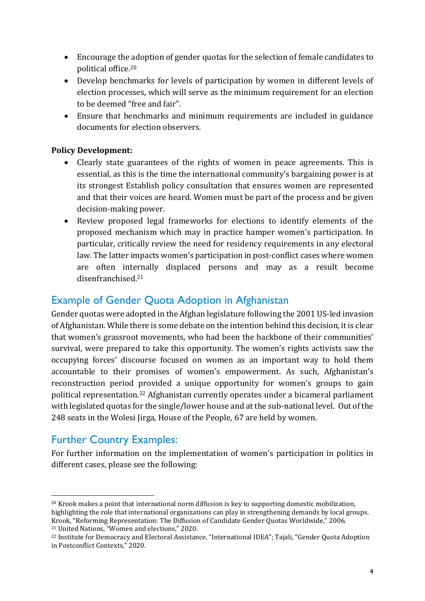- Encourage the adoption of gender quotas for the selection of female candidates to political office.<sup>20</sup>
- Develop benchmarks for levels of participation by women in different levels of election processes, which will serve as the minimum requirement for an election to be deemed "free and fair".
- Ensure that benchmarks and minimum requirements are included in guidance documents for election observers.

#### Policy Development:

- Clearly state guarantees of the rights of women in peace agreements. This is essential, as this is the time the international community's bargaining power is at its strongest Establish policy consultation that ensures women are represented and that their voices are heard. Women must be part of the process and be given decision-making power.
- Review proposed legal frameworks for elections to identify elements of the proposed mechanism which may in practice hamper women's participation. In particular, critically review the need for residency requirements in any electoral law. The latter impacts women's participation in post-conflict cases where women are often internally displaced persons and may as a result become disenfranchised.<sup>21</sup>

## Example of Gender Quota Adoption in Afghanistan

Gender quotas were adopted in the Afghan legislature following the 2001 US-led invasion of Afghanistan. While there is some debate on the intention behind this decision, it is clear that women's grassroot movements, who had been the backbone of their communities' survival, were prepared to take this opportunity. The women's rights activists saw the occupying forces' discourse focused on women as an important way to hold them accountable to their promises of women's empowerment. As such, Afghanistan's reconstruction period provided a unique opportunity for women's groups to gain political representation.22 Afghanistan currently operates under a bicameral parliament with legislated quotas for the single/lower house and at the sub-national level. Out of the 248 seats in the Wolesi Jirga, House of the People, 67 are held by women.

## Further Country Examples:

For further information on the implementation of women's participation in politics in different cases, please see the following:

<sup>20</sup> Krook makes a point that international norm diffusion is key to supporting domestic mobilization, highlighting the role that international organizations can play in strengthening demands by local groups. Krook, "Reforming Representation: The Diffusion of Candidate Gender Quotas Worldwide," 2006. <sup>21</sup> United Nations, "Women and elections," 2020.

<sup>22</sup> Institute for Democracy and Electoral Assistance, "International IDEA"; Tajali, "Gender Quota Adoption in Postconflict Contexts," 2020.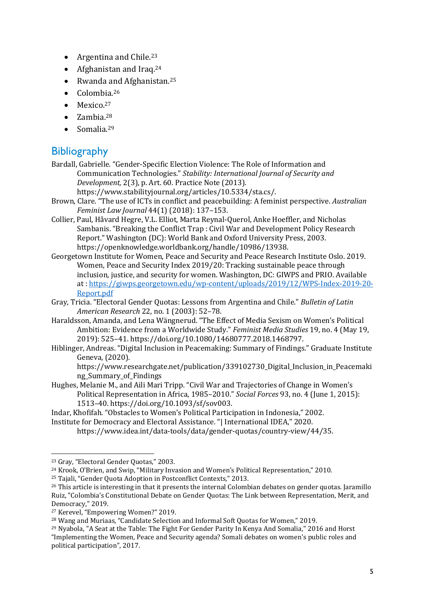- Argentina and Chile. $23$
- Afghanistan and Iraq. $24$
- Rwanda and Afghanistan.<sup>25</sup>
- $\bullet$  Colombia.<sup>26</sup>
- $\bullet$  Mexico.<sup>27</sup>
- $\bullet$  Zambia.<sup>28</sup>
- $\bullet$  Somalia.<sup>29</sup>

## **Bibliography**

Bardall, Gabrielle. "Gender-Specific Election Violence: The Role of Information and Communication Technologies." Stability: International Journal of Security and Development, 2(3), p. Art. 60. Practice Note (2013). https://www.stabilityjournal.org/articles/10.5334/sta.cs/.

- Brown, Clare. "The use of ICTs in conflict and peacebuilding: A feminist perspective. Australian Feminist Law Journal 44(1) (2018): 137–153.
- Collier, Paul, Håvard Hegre, V.L. Elliot, Marta Reynal-Querol, Anke Hoeffler, and Nicholas Sambanis. "Breaking the Conflict Trap : Civil War and Development Policy Research Report." Washington (DC): World Bank and Oxford University Press, 2003. https://openknowledge.worldbank.org/handle/10986/13938.
- Georgetown Institute for Women, Peace and Security and Peace Research Institute Oslo. 2019. Women, Peace and Security Index 2019/20: Tracking sustainable peace through inclusion, justice, and security for women. Washington, DC: GIWPS and PRIO. Available at : https://giwps.georgetown.edu/wp-content/uploads/2019/12/WPS-Index-2019-20- Report.pdf
- Gray, Tricia. "Electoral Gender Quotas: Lessons from Argentina and Chile." Bulletin of Latin American Research 22, no. 1 (2003): 52–78.
- Haraldsson, Amanda, and Lena Wängnerud. "The Effect of Media Sexism on Women's Political Ambition: Evidence from a Worldwide Study." Feminist Media Studies 19, no. 4 (May 19, 2019): 525–41. https://doi.org/10.1080/14680777.2018.1468797.
- Hiblinger, Andreas. "Digital Inclusion in Peacemaking: Summary of Findings." Graduate Institute Geneva, (2020).

https://www.researchgate.net/publication/339102730\_Digital\_Inclusion\_in\_Peacemaki ng Summary of Findings

Hughes, Melanie M., and Aili Mari Tripp. "Civil War and Trajectories of Change in Women's Political Representation in Africa, 1985–2010." Social Forces 93, no. 4 (June 1, 2015): 1513–40. https://doi.org/10.1093/sf/sov003.

Indar, Khofifah. "Obstacles to Women's Political Participation in Indonesia," 2002. Institute for Democracy and Electoral Assistance. "| International IDEA," 2020.

https://www.idea.int/data-tools/data/gender-quotas/country-view/44/35.

<sup>23</sup> Gray, "Electoral Gender Quotas," 2003.

<sup>24</sup> Krook, O'Brien, and Swip, "Military Invasion and Women's Political Representation," 2010.

<sup>25</sup> Tajali, "Gender Quota Adoption in Postconflict Contexts," 2013.

<sup>&</sup>lt;sup>26</sup> This article is interesting in that it presents the internal Colombian debates on gender quotas. Jaramillo Ruiz, "Colombia's Constitutional Debate on Gender Quotas: The Link between Representation, Merit, and Democracy," 2019.

<sup>27</sup> Kerevel, "Empowering Women?" 2019.

<sup>28</sup> Wang and Muriaas, "Candidate Selection and Informal Soft Quotas for Women," 2019.

<sup>29</sup> Nyabola, "A Seat at the Table: The Fight For Gender Parity In Kenya And Somalia," 2016 and Horst "Implementing the Women, Peace and Security agenda? Somali debates on women's public roles and political participation", 2017.